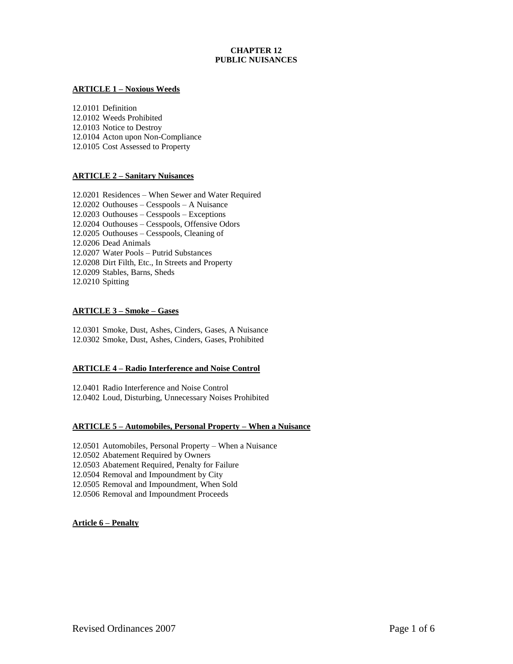# **CHAPTER 12 PUBLIC NUISANCES**

### **ARTICLE 1 – Noxious Weeds**

12.0101 Definition 12.0102 Weeds Prohibited 12.0103 Notice to Destroy 12.0104 Acton upon Non-Compliance 12.0105 Cost Assessed to Property

### **ARTICLE 2 – Sanitary Nuisances**

12.0201 Residences – When Sewer and Water Required 12.0202 Outhouses – Cesspools – A Nuisance 12.0203 Outhouses – Cesspools – Exceptions 12.0204 Outhouses – Cesspools, Offensive Odors 12.0205 Outhouses – Cesspools, Cleaning of 12.0206 Dead Animals 12.0207 Water Pools – Putrid Substances 12.0208 Dirt Filth, Etc., In Streets and Property 12.0209 Stables, Barns, Sheds 12.0210 Spitting

### **ARTICLE 3 – Smoke – Gases**

12.0301 Smoke, Dust, Ashes, Cinders, Gases, A Nuisance 12.0302 Smoke, Dust, Ashes, Cinders, Gases, Prohibited

#### **ARTICLE 4 – Radio Interference and Noise Control**

12.0401 Radio Interference and Noise Control 12.0402 Loud, Disturbing, Unnecessary Noises Prohibited

## **ARTICLE 5 – Automobiles, Personal Property – When a Nuisance**

12.0501 Automobiles, Personal Property – When a Nuisance 12.0502 Abatement Required by Owners 12.0503 Abatement Required, Penalty for Failure 12.0504 Removal and Impoundment by City 12.0505 Removal and Impoundment, When Sold 12.0506 Removal and Impoundment Proceeds

**Article 6 – Penalty**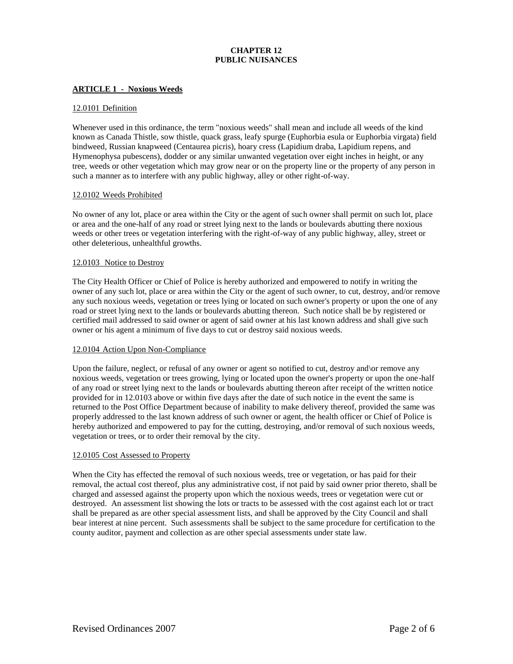# **CHAPTER 12 PUBLIC NUISANCES**

### **ARTICLE 1 - Noxious Weeds**

#### 12.0101 Definition

Whenever used in this ordinance, the term "noxious weeds" shall mean and include all weeds of the kind known as Canada Thistle, sow thistle, quack grass, leafy spurge (Euphorbia esula or Euphorbia virgata) field bindweed, Russian knapweed (Centaurea picris), hoary cress (Lapidium draba, Lapidium repens, and Hymenophysa pubescens), dodder or any similar unwanted vegetation over eight inches in height, or any tree, weeds or other vegetation which may grow near or on the property line or the property of any person in such a manner as to interfere with any public highway, alley or other right-of-way.

#### 12.0102 Weeds Prohibited

No owner of any lot, place or area within the City or the agent of such owner shall permit on such lot, place or area and the one-half of any road or street lying next to the lands or boulevards abutting there noxious weeds or other trees or vegetation interfering with the right-of-way of any public highway, alley, street or other deleterious, unhealthful growths.

### 12.0103 Notice to Destroy

The City Health Officer or Chief of Police is hereby authorized and empowered to notify in writing the owner of any such lot, place or area within the City or the agent of such owner, to cut, destroy, and/or remove any such noxious weeds, vegetation or trees lying or located on such owner's property or upon the one of any road or street lying next to the lands or boulevards abutting thereon. Such notice shall be by registered or certified mail addressed to said owner or agent of said owner at his last known address and shall give such owner or his agent a minimum of five days to cut or destroy said noxious weeds.

#### 12.0104 Action Upon Non-Compliance

Upon the failure, neglect, or refusal of any owner or agent so notified to cut, destroy and  $\or$  remove any noxious weeds, vegetation or trees growing, lying or located upon the owner's property or upon the one-half of any road or street lying next to the lands or boulevards abutting thereon after receipt of the written notice provided for in 12.0103 above or within five days after the date of such notice in the event the same is returned to the Post Office Department because of inability to make delivery thereof, provided the same was properly addressed to the last known address of such owner or agent, the health officer or Chief of Police is hereby authorized and empowered to pay for the cutting, destroying, and/or removal of such noxious weeds, vegetation or trees, or to order their removal by the city.

#### 12.0105 Cost Assessed to Property

When the City has effected the removal of such noxious weeds, tree or vegetation, or has paid for their removal, the actual cost thereof, plus any administrative cost, if not paid by said owner prior thereto, shall be charged and assessed against the property upon which the noxious weeds, trees or vegetation were cut or destroyed. An assessment list showing the lots or tracts to be assessed with the cost against each lot or tract shall be prepared as are other special assessment lists, and shall be approved by the City Council and shall bear interest at nine percent. Such assessments shall be subject to the same procedure for certification to the county auditor, payment and collection as are other special assessments under state law.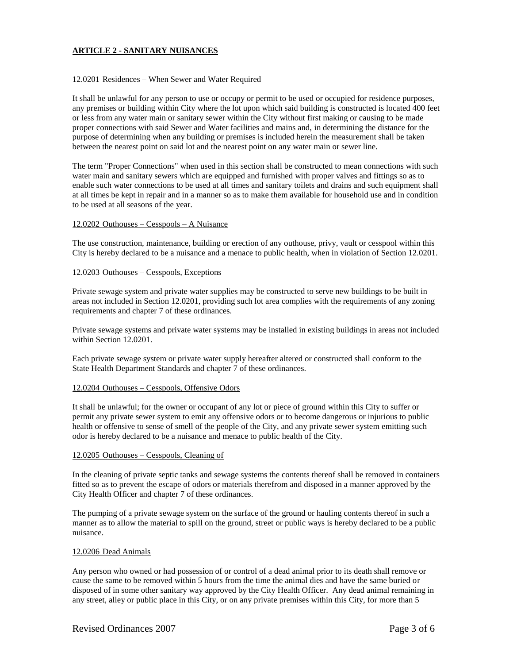## **ARTICLE 2 - SANITARY NUISANCES**

### 12.0201 Residences – When Sewer and Water Required

It shall be unlawful for any person to use or occupy or permit to be used or occupied for residence purposes, any premises or building within City where the lot upon which said building is constructed is located 400 feet or less from any water main or sanitary sewer within the City without first making or causing to be made proper connections with said Sewer and Water facilities and mains and, in determining the distance for the purpose of determining when any building or premises is included herein the measurement shall be taken between the nearest point on said lot and the nearest point on any water main or sewer line.

The term "Proper Connections" when used in this section shall be constructed to mean connections with such water main and sanitary sewers which are equipped and furnished with proper valves and fittings so as to enable such water connections to be used at all times and sanitary toilets and drains and such equipment shall at all times be kept in repair and in a manner so as to make them available for household use and in condition to be used at all seasons of the year.

#### 12.0202 Outhouses – Cesspools – A Nuisance

The use construction, maintenance, building or erection of any outhouse, privy, vault or cesspool within this City is hereby declared to be a nuisance and a menace to public health, when in violation of Section 12.0201.

#### 12.0203 Outhouses – Cesspools, Exceptions

Private sewage system and private water supplies may be constructed to serve new buildings to be built in areas not included in Section 12.0201, providing such lot area complies with the requirements of any zoning requirements and chapter 7 of these ordinances.

Private sewage systems and private water systems may be installed in existing buildings in areas not included within Section 12.0201.

Each private sewage system or private water supply hereafter altered or constructed shall conform to the State Health Department Standards and chapter 7 of these ordinances.

#### 12.0204 Outhouses – Cesspools, Offensive Odors

It shall be unlawful; for the owner or occupant of any lot or piece of ground within this City to suffer or permit any private sewer system to emit any offensive odors or to become dangerous or injurious to public health or offensive to sense of smell of the people of the City, and any private sewer system emitting such odor is hereby declared to be a nuisance and menace to public health of the City.

#### 12.0205 Outhouses – Cesspools, Cleaning of

In the cleaning of private septic tanks and sewage systems the contents thereof shall be removed in containers fitted so as to prevent the escape of odors or materials therefrom and disposed in a manner approved by the City Health Officer and chapter 7 of these ordinances.

The pumping of a private sewage system on the surface of the ground or hauling contents thereof in such a manner as to allow the material to spill on the ground, street or public ways is hereby declared to be a public nuisance.

#### 12.0206 Dead Animals

Any person who owned or had possession of or control of a dead animal prior to its death shall remove or cause the same to be removed within 5 hours from the time the animal dies and have the same buried or disposed of in some other sanitary way approved by the City Health Officer. Any dead animal remaining in any street, alley or public place in this City, or on any private premises within this City, for more than 5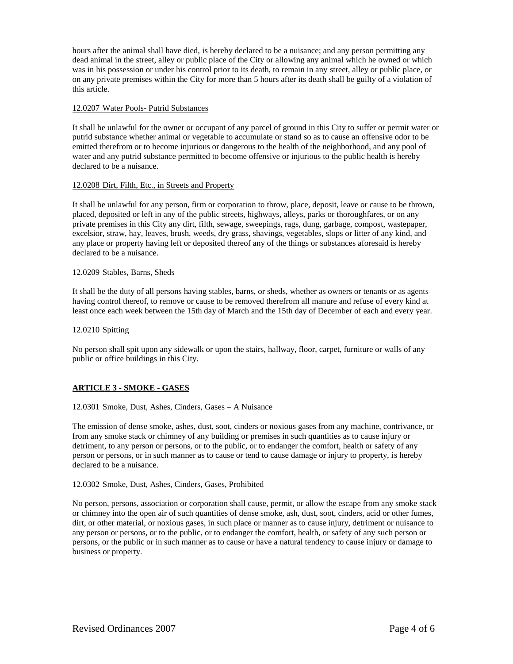hours after the animal shall have died, is hereby declared to be a nuisance; and any person permitting any dead animal in the street, alley or public place of the City or allowing any animal which he owned or which was in his possession or under his control prior to its death, to remain in any street, alley or public place, or on any private premises within the City for more than 5 hours after its death shall be guilty of a violation of this article.

### 12.0207 Water Pools- Putrid Substances

It shall be unlawful for the owner or occupant of any parcel of ground in this City to suffer or permit water or putrid substance whether animal or vegetable to accumulate or stand so as to cause an offensive odor to be emitted therefrom or to become injurious or dangerous to the health of the neighborhood, and any pool of water and any putrid substance permitted to become offensive or injurious to the public health is hereby declared to be a nuisance.

### 12.0208 Dirt, Filth, Etc., in Streets and Property

It shall be unlawful for any person, firm or corporation to throw, place, deposit, leave or cause to be thrown, placed, deposited or left in any of the public streets, highways, alleys, parks or thoroughfares, or on any private premises in this City any dirt, filth, sewage, sweepings, rags, dung, garbage, compost, wastepaper, excelsior, straw, hay, leaves, brush, weeds, dry grass, shavings, vegetables, slops or litter of any kind, and any place or property having left or deposited thereof any of the things or substances aforesaid is hereby declared to be a nuisance.

### 12.0209 Stables, Barns, Sheds

It shall be the duty of all persons having stables, barns, or sheds, whether as owners or tenants or as agents having control thereof, to remove or cause to be removed therefrom all manure and refuse of every kind at least once each week between the 15th day of March and the 15th day of December of each and every year.

### 12.0210 Spitting

No person shall spit upon any sidewalk or upon the stairs, hallway, floor, carpet, furniture or walls of any public or office buildings in this City.

## **ARTICLE 3 - SMOKE - GASES**

## 12.0301 Smoke, Dust, Ashes, Cinders, Gases – A Nuisance

The emission of dense smoke, ashes, dust, soot, cinders or noxious gases from any machine, contrivance, or from any smoke stack or chimney of any building or premises in such quantities as to cause injury or detriment, to any person or persons, or to the public, or to endanger the comfort, health or safety of any person or persons, or in such manner as to cause or tend to cause damage or injury to property, is hereby declared to be a nuisance.

## 12.0302 Smoke, Dust, Ashes, Cinders, Gases, Prohibited

No person, persons, association or corporation shall cause, permit, or allow the escape from any smoke stack or chimney into the open air of such quantities of dense smoke, ash, dust, soot, cinders, acid or other fumes, dirt, or other material, or noxious gases, in such place or manner as to cause injury, detriment or nuisance to any person or persons, or to the public, or to endanger the comfort, health, or safety of any such person or persons, or the public or in such manner as to cause or have a natural tendency to cause injury or damage to business or property.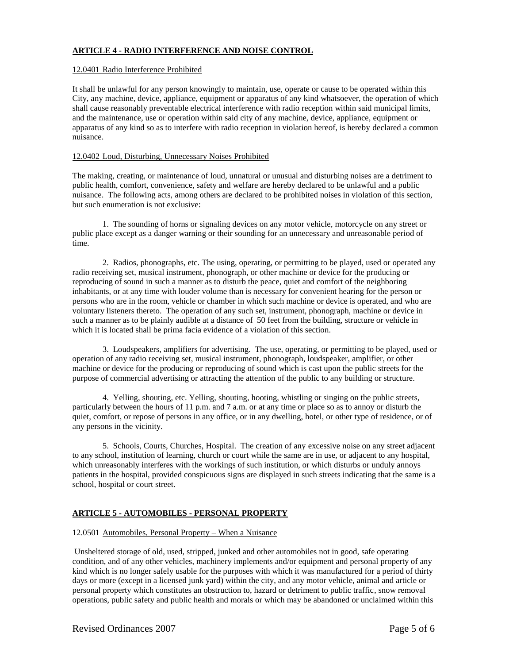## **ARTICLE 4 - RADIO INTERFERENCE AND NOISE CONTROL**

### 12.0401 Radio Interference Prohibited

It shall be unlawful for any person knowingly to maintain, use, operate or cause to be operated within this City, any machine, device, appliance, equipment or apparatus of any kind whatsoever, the operation of which shall cause reasonably preventable electrical interference with radio reception within said municipal limits, and the maintenance, use or operation within said city of any machine, device, appliance, equipment or apparatus of any kind so as to interfere with radio reception in violation hereof, is hereby declared a common nuisance.

### 12.0402 Loud, Disturbing, Unnecessary Noises Prohibited

The making, creating, or maintenance of loud, unnatural or unusual and disturbing noises are a detriment to public health, comfort, convenience, safety and welfare are hereby declared to be unlawful and a public nuisance. The following acts, among others are declared to be prohibited noises in violation of this section, but such enumeration is not exclusive:

1. The sounding of horns or signaling devices on any motor vehicle, motorcycle on any street or public place except as a danger warning or their sounding for an unnecessary and unreasonable period of time.

2. Radios, phonographs, etc. The using, operating, or permitting to be played, used or operated any radio receiving set, musical instrument, phonograph, or other machine or device for the producing or reproducing of sound in such a manner as to disturb the peace, quiet and comfort of the neighboring inhabitants, or at any time with louder volume than is necessary for convenient hearing for the person or persons who are in the room, vehicle or chamber in which such machine or device is operated, and who are voluntary listeners thereto. The operation of any such set, instrument, phonograph, machine or device in such a manner as to be plainly audible at a distance of 50 feet from the building, structure or vehicle in which it is located shall be prima facia evidence of a violation of this section.

3. Loudspeakers, amplifiers for advertising. The use, operating, or permitting to be played, used or operation of any radio receiving set, musical instrument, phonograph, loudspeaker, amplifier, or other machine or device for the producing or reproducing of sound which is cast upon the public streets for the purpose of commercial advertising or attracting the attention of the public to any building or structure.

4. Yelling, shouting, etc. Yelling, shouting, hooting, whistling or singing on the public streets, particularly between the hours of 11 p.m. and 7 a.m. or at any time or place so as to annoy or disturb the quiet, comfort, or repose of persons in any office, or in any dwelling, hotel, or other type of residence, or of any persons in the vicinity.

5. Schools, Courts, Churches, Hospital. The creation of any excessive noise on any street adjacent to any school, institution of learning, church or court while the same are in use, or adjacent to any hospital, which unreasonably interferes with the workings of such institution, or which disturbs or unduly annoys patients in the hospital, provided conspicuous signs are displayed in such streets indicating that the same is a school, hospital or court street.

## **ARTICLE 5 - AUTOMOBILES - PERSONAL PROPERTY**

## 12.0501 Automobiles, Personal Property – When a Nuisance

Unsheltered storage of old, used, stripped, junked and other automobiles not in good, safe operating condition, and of any other vehicles, machinery implements and/or equipment and personal property of any kind which is no longer safely usable for the purposes with which it was manufactured for a period of thirty days or more (except in a licensed junk yard) within the city, and any motor vehicle, animal and article or personal property which constitutes an obstruction to, hazard or detriment to public traffic, snow removal operations, public safety and public health and morals or which may be abandoned or unclaimed within this